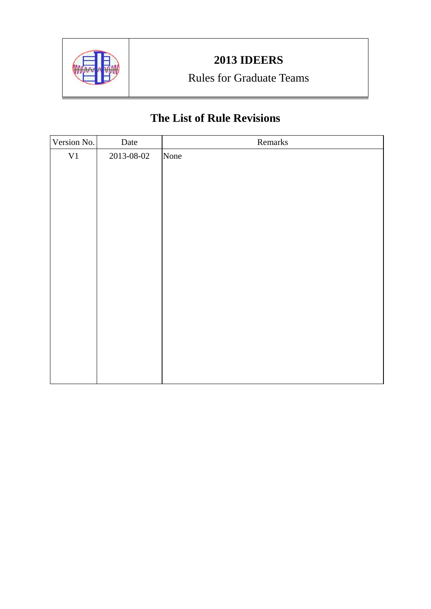

# Rules for Graduate Teams

# **The List of Rule Revisions**

| Version No. | Date       | Remarks |
|-------------|------------|---------|
| ${\rm V1}$  | 2013-08-02 | None    |
|             |            |         |
|             |            |         |
|             |            |         |
|             |            |         |
|             |            |         |
|             |            |         |
|             |            |         |
|             |            |         |
|             |            |         |
|             |            |         |
|             |            |         |
|             |            |         |
|             |            |         |
|             |            |         |
|             |            |         |
|             |            |         |
|             |            |         |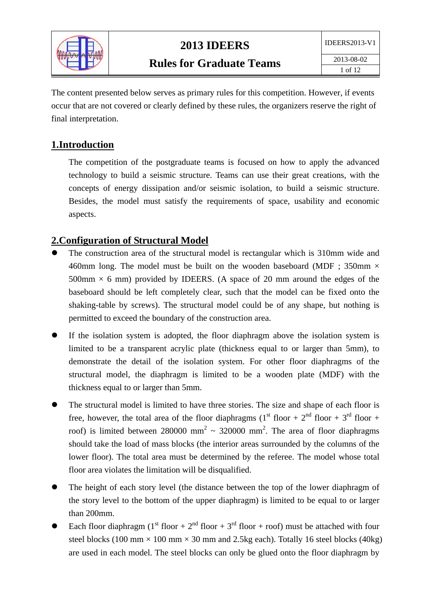

The content presented below serves as primary rules for this competition. However, if events occur that are not covered or clearly defined by these rules, the organizers reserve the right of final interpretation.

### **1.Introduction**

The competition of the postgraduate teams is focused on how to apply the advanced technology to build a seismic structure. Teams can use their great creations, with the concepts of energy dissipation and/or seismic isolation, to build a seismic structure. Besides, the model must satisfy the requirements of space, usability and economic aspects.

## **2.Configuration of Structural Model**

- The construction area of the structural model is rectangular which is 310mm wide and 460mm long. The model must be built on the wooden baseboard (MDF :  $350$ mm  $\times$ 500mm  $\times$  6 mm) provided by IDEERS. (A space of 20 mm around the edges of the baseboard should be left completely clear, such that the model can be fixed onto the shaking-table by screws). The structural model could be of any shape, but nothing is permitted to exceed the boundary of the construction area.
- If the isolation system is adopted, the floor diaphragm above the isolation system is limited to be a transparent acrylic plate (thickness equal to or larger than 5mm), to demonstrate the detail of the isolation system. For other floor diaphragms of the structural model, the diaphragm is limited to be a wooden plate (MDF) with the thickness equal to or larger than 5mm.
- The structural model is limited to have three stories. The size and shape of each floor is free, however, the total area of the floor diaphragms (1<sup>st</sup> floor +  $2<sup>nd</sup>$  floor +  $3<sup>rd</sup>$  floor + roof) is limited between 280000 mm<sup>2</sup>  $\sim$  320000 mm<sup>2</sup>. The area of floor diaphragms should take the load of mass blocks (the interior areas surrounded by the columns of the lower floor). The total area must be determined by the referee. The model whose total floor area violates the limitation will be disqualified.
- The height of each story level (the distance between the top of the lower diaphragm of the story level to the bottom of the upper diaphragm) is limited to be equal to or larger than 200mm.
- Each floor diaphragm (1<sup>st</sup> floor +  $2<sup>nd</sup>$  floor +  $3<sup>rd</sup>$  floor + roof) must be attached with four steel blocks (100 mm  $\times$  100 mm  $\times$  30 mm and 2.5kg each). Totally 16 steel blocks (40kg) are used in each model. The steel blocks can only be glued onto the floor diaphragm by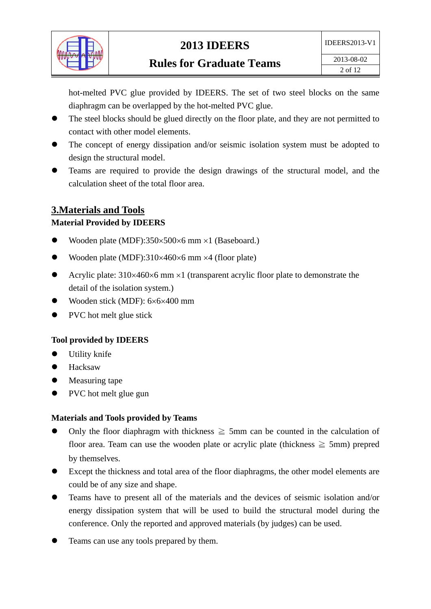

hot-melted PVC glue provided by IDEERS. The set of two steel blocks on the same diaphragm can be overlapped by the hot-melted PVC glue.

- The steel blocks should be glued directly on the floor plate, and they are not permitted to contact with other model elements.
- The concept of energy dissipation and/or seismic isolation system must be adopted to design the structural model.
- Teams are required to provide the design drawings of the structural model, and the calculation sheet of the total floor area.

### **3.Materials and Tools**

#### **Material Provided by IDEERS**

- Wooden plate (MDF): $350 \times 500 \times 6$  mm  $\times 1$  (Baseboard.)
- Wooden plate (MDF): $310\times460\times6$  mm  $\times4$  (floor plate)
- Acrylic plate:  $310\times460\times6$  mm  $\times1$  (transparent acrylic floor plate to demonstrate the detail of the isolation system.)
- Wooden stick (MDF): 6×6×400 mm
- PVC hot melt glue stick

#### **Tool provided by IDEERS**

- Utility knife
- Hacksaw
- Measuring tape
- PVC hot melt glue gun

#### **Materials and Tools provided by Teams**

- Only the floor diaphragm with thickness  $\geq$  5mm can be counted in the calculation of floor area. Team can use the wooden plate or acrylic plate (thickness  $\geq$  5mm) prepred by themselves.
- Except the thickness and total area of the floor diaphragms, the other model elements are could be of any size and shape.
- Teams have to present all of the materials and the devices of seismic isolation and/or energy dissipation system that will be used to build the structural model during the conference. Only the reported and approved materials (by judges) can be used.
- Teams can use any tools prepared by them.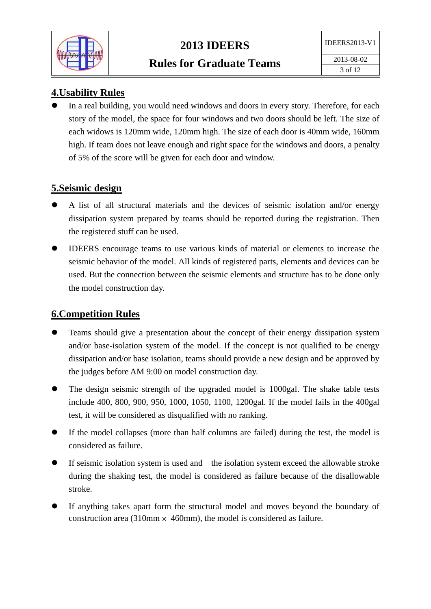

## **4.Usability Rules**

 In a real building, you would need windows and doors in every story. Therefore, for each story of the model, the space for four windows and two doors should be left. The size of each widows is 120mm wide, 120mm high. The size of each door is 40mm wide, 160mm high. If team does not leave enough and right space for the windows and doors, a penalty of 5% of the score will be given for each door and window.

### **5.Seismic design**

- A list of all structural materials and the devices of seismic isolation and/or energy dissipation system prepared by teams should be reported during the registration. Then the registered stuff can be used.
- IDEERS encourage teams to use various kinds of material or elements to increase the seismic behavior of the model. All kinds of registered parts, elements and devices can be used. But the connection between the seismic elements and structure has to be done only the model construction day.

### **6.Competition Rules**

- Teams should give a presentation about the concept of their energy dissipation system and/or base-isolation system of the model. If the concept is not qualified to be energy dissipation and/or base isolation, teams should provide a new design and be approved by the judges before AM 9:00 on model construction day.
- The design seismic strength of the upgraded model is 1000gal. The shake table tests include 400, 800, 900, 950, 1000, 1050, 1100, 1200gal. If the model fails in the 400gal test, it will be considered as disqualified with no ranking.
- If the model collapses (more than half columns are failed) during the test, the model is considered as failure.
- If seismic isolation system is used and the isolation system exceed the allowable stroke during the shaking test, the model is considered as failure because of the disallowable stroke.
- If anything takes apart form the structural model and moves beyond the boundary of construction area (310mm  $\times$  460mm), the model is considered as failure.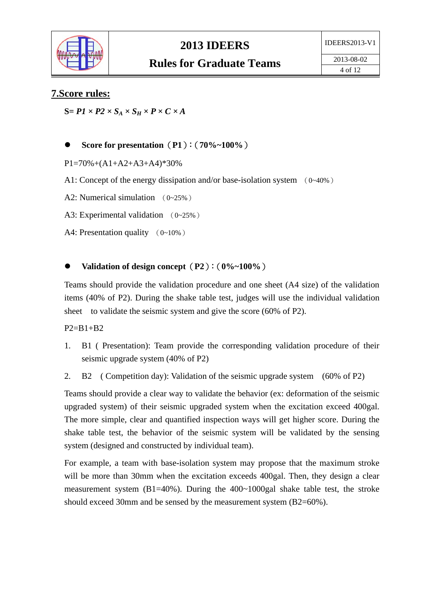

#### **7.Score rules:**

 $S = P1 \times P2 \times S_A \times S_H \times P \times C \times A$ 

#### **Score for presentation**(**P1**):(**70%~100%**)

 $P1=70\%+(A1+A2+A3+A4)*30\%$ 

A1: Concept of the energy dissipation and/or base-isolation system (0~40%)

A2: Numerical simulation (0~25%)

A3: Experimental validation (0~25%)

A4: Presentation quality (0~10%)

#### **Validation of design concept**(**P2**):(**0%~100%**)

Teams should provide the validation procedure and one sheet (A4 size) of the validation items (40% of P2). During the shake table test, judges will use the individual validation sheet to validate the seismic system and give the score (60% of P2).

 $P2 = B1 + B2$ 

- 1. B1 ( Presentation): Team provide the corresponding validation procedure of their seismic upgrade system (40% of P2)
- 2. B2 ( Competition day): Validation of the seismic upgrade system (60% of P2)

Teams should provide a clear way to validate the behavior (ex: deformation of the seismic upgraded system) of their seismic upgraded system when the excitation exceed 400gal. The more simple, clear and quantified inspection ways will get higher score. During the shake table test, the behavior of the seismic system will be validated by the sensing system (designed and constructed by individual team).

For example, a team with base-isolation system may propose that the maximum stroke will be more than 30mm when the excitation exceeds 400gal. Then, they design a clear measurement system  $(B1=40\%)$ . During the  $400\sim1000$  gal shake table test, the stroke should exceed 30mm and be sensed by the measurement system (B2=60%).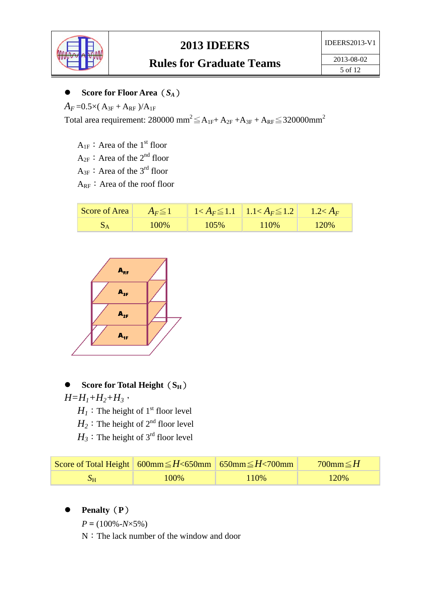

## **Rules for Graduate Teams**

### **Score for Floor Area**(*SA*)

 $A_F = 0.5 \times (A_{3F} + A_{RF})/A_{1F}$ 

Total area requirement: 280000 mm<sup>2</sup> $\leq$ A<sub>1F</sub>+A<sub>2F</sub> +A<sub>3F</sub> + A<sub>RF</sub> $\leq$ 320000mm<sup>2</sup>

 $A_{1F}$ : Area of the 1<sup>st</sup> floor

 $A_{2F}$ : Area of the  $2^{nd}$  floor

 $A_{3F}$ : Area of the 3<sup>rd</sup> floor

 $A_{RF}$ : Area of the roof floor

| Score of Area | $A_F \leq 1$ |      | $1 < A_F \leq 1.1$   $1.1 < A_F \leq 1.2$ | $1.2 < A_F$ |
|---------------|--------------|------|-------------------------------------------|-------------|
|               | 100%         | 105% | 110\%                                     | 120%        |



Score for Total Height (S<sub>H</sub>)  $H=H_1+H_2+H_3$ ,

 $H_1$ : The height of 1<sup>st</sup> floor level

 $H_2$ : The height of  $2^{nd}$  floor level

 $H_3$ : The height of 3<sup>rd</sup> floor level

|    | Score of Total Height 600mm $\leq H < 650$ mm 650mm $\leq H < 700$ mm |      | 700mm $\leq H$ |
|----|-----------------------------------------------------------------------|------|----------------|
| DН | 100%                                                                  | 110% | 120%           |

**Penalty**(**P**)

 $P = (100\% - N \times 5\%)$ 

N:The lack number of the window and door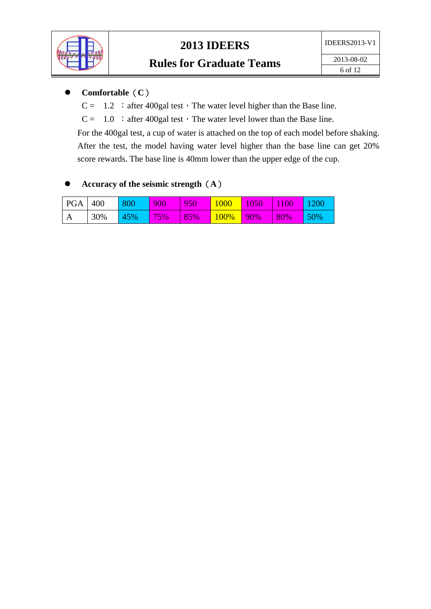

## **Comfortable**(**C**)

- $C = 1.2$ : after 400gal test, The water level higher than the Base line.
- $C = 1.0$ : after 400gal test, The water level lower than the Base line.

For the 400gal test, a cup of water is attached on the top of each model before shaking. After the test, the model having water level higher than the base line can get 20% score rewards. The base line is 40mm lower than the upper edge of the cup.

## **Accuracy of the seismic strength**(**A**)

| PGA   400         |     | 800 | 900 | 950 | <b>1000</b> | 1050          | 1100 | 1200 |
|-------------------|-----|-----|-----|-----|-------------|---------------|------|------|
| $^{\mathsf{I}}$ A | 30% | 45% | 75% | 85% | 100%        | $\sqrt{90\%}$ | 80%  | 50%  |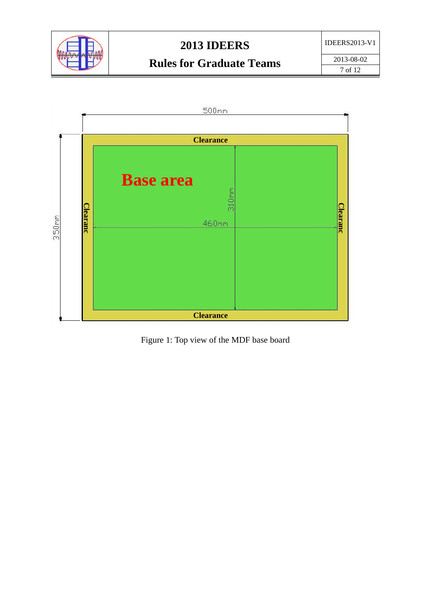



Figure 1: Top view of the MDF base board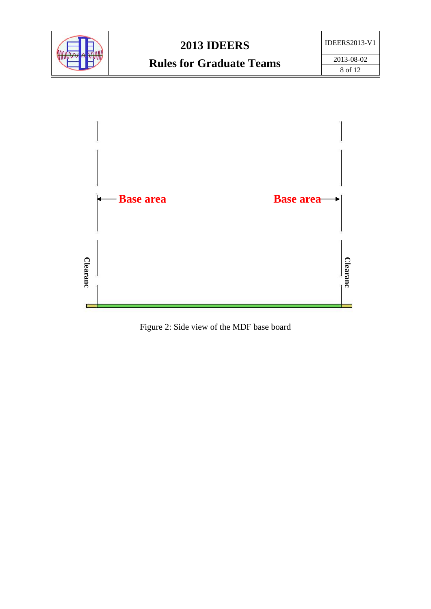



Figure 2: Side view of the MDF base board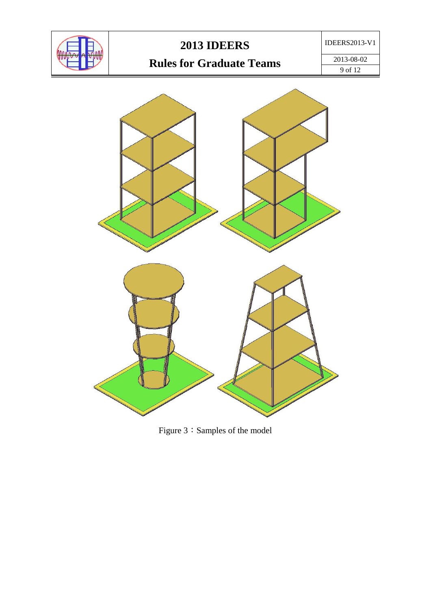

# **Rules for Graduate Teams**

2013-08-02 9 of 12



Figure 3: Samples of the model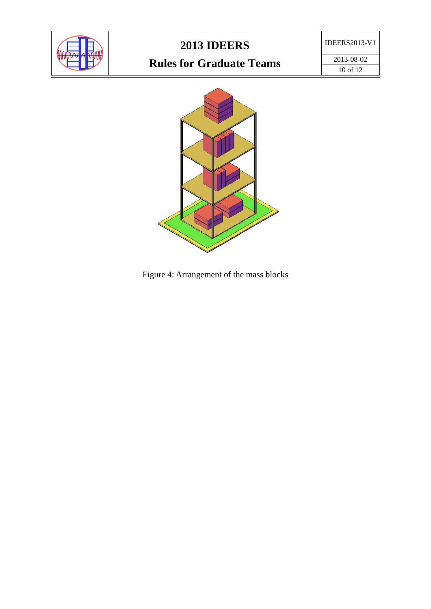

## IDEERS2013-V1

# **Rules for Graduate Teams**

2013-08-02 10 of 12



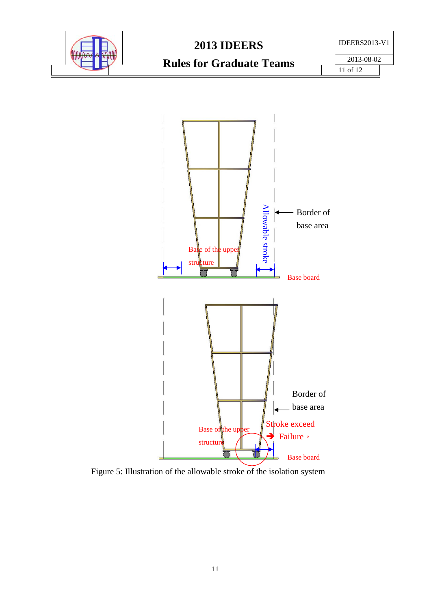

2013-08-02

**Rules for Graduate Teams**



Figure 5: Illustration of the allowable stroke of the isolation system